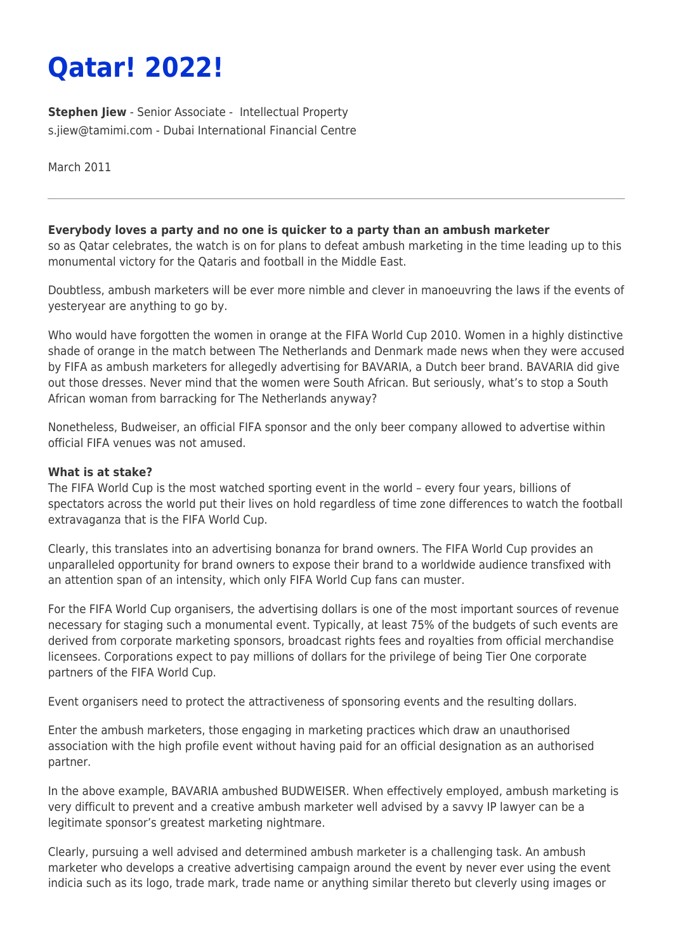# **Qatar! 2022!**

**[Stephen Jiew](https://www.tamimi.com/find-a-lawyer/stephen-jiew/)** - Senior Associate - [Intellectual Property](https://www.tamimi.com/client-services/practices/intellectual-property/) [s.jiew@tamimi.com](mailto:s.jiew@tamimi.com) - [Dubai International Financial Centre](https://www.tamimi.com/locations/uae/)

March 2011

### **Everybody loves a party and no one is quicker to a party than an ambush marketer**

so as Qatar celebrates, the watch is on for plans to defeat ambush marketing in the time leading up to this monumental victory for the Qataris and football in the Middle East.

Doubtless, ambush marketers will be ever more nimble and clever in manoeuvring the laws if the events of yesteryear are anything to go by.

Who would have forgotten the women in orange at the FIFA World Cup 2010. Women in a highly distinctive shade of orange in the match between The Netherlands and Denmark made news when they were accused by FIFA as ambush marketers for allegedly advertising for BAVARIA, a Dutch beer brand. BAVARIA did give out those dresses. Never mind that the women were South African. But seriously, what's to stop a South African woman from barracking for The Netherlands anyway?

Nonetheless, Budweiser, an official FIFA sponsor and the only beer company allowed to advertise within official FIFA venues was not amused.

#### **What is at stake?**

The FIFA World Cup is the most watched sporting event in the world – every four years, billions of spectators across the world put their lives on hold regardless of time zone differences to watch the football extravaganza that is the FIFA World Cup.

Clearly, this translates into an advertising bonanza for brand owners. The FIFA World Cup provides an unparalleled opportunity for brand owners to expose their brand to a worldwide audience transfixed with an attention span of an intensity, which only FIFA World Cup fans can muster.

For the FIFA World Cup organisers, the advertising dollars is one of the most important sources of revenue necessary for staging such a monumental event. Typically, at least 75% of the budgets of such events are derived from corporate marketing sponsors, broadcast rights fees and royalties from official merchandise licensees. Corporations expect to pay millions of dollars for the privilege of being Tier One corporate partners of the FIFA World Cup.

Event organisers need to protect the attractiveness of sponsoring events and the resulting dollars.

Enter the ambush marketers, those engaging in marketing practices which draw an unauthorised association with the high profile event without having paid for an official designation as an authorised partner.

In the above example, BAVARIA ambushed BUDWEISER. When effectively employed, ambush marketing is very difficult to prevent and a creative ambush marketer well advised by a savvy IP lawyer can be a legitimate sponsor's greatest marketing nightmare.

Clearly, pursuing a well advised and determined ambush marketer is a challenging task. An ambush marketer who develops a creative advertising campaign around the event by never ever using the event indicia such as its logo, trade mark, trade name or anything similar thereto but cleverly using images or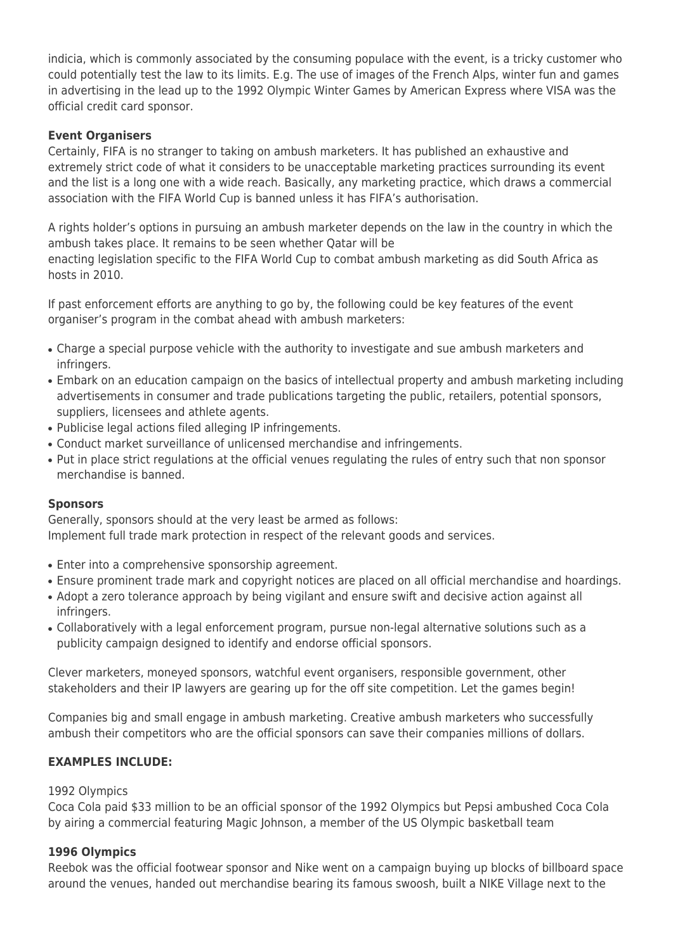indicia, which is commonly associated by the consuming populace with the event, is a tricky customer who could potentially test the law to its limits. E.g. The use of images of the French Alps, winter fun and games in advertising in the lead up to the 1992 Olympic Winter Games by American Express where VISA was the official credit card sponsor.

## **Event Organisers**

Certainly, FIFA is no stranger to taking on ambush marketers. It has published an exhaustive and extremely strict code of what it considers to be unacceptable marketing practices surrounding its event and the list is a long one with a wide reach. Basically, any marketing practice, which draws a commercial association with the FIFA World Cup is banned unless it has FIFA's authorisation.

A rights holder's options in pursuing an ambush marketer depends on the law in the country in which the ambush takes place. It remains to be seen whether Qatar will be enacting legislation specific to the FIFA World Cup to combat ambush marketing as did South Africa as hosts in 2010.

If past enforcement efforts are anything to go by, the following could be key features of the event organiser's program in the combat ahead with ambush marketers:

- Charge a special purpose vehicle with the authority to investigate and sue ambush marketers and infringers.
- Embark on an education campaign on the basics of intellectual property and ambush marketing including advertisements in consumer and trade publications targeting the public, retailers, potential sponsors, suppliers, licensees and athlete agents.
- Publicise legal actions filed alleging IP infringements.
- Conduct market surveillance of unlicensed merchandise and infringements.
- Put in place strict regulations at the official venues regulating the rules of entry such that non sponsor merchandise is banned.

#### **Sponsors**

Generally, sponsors should at the very least be armed as follows: Implement full trade mark protection in respect of the relevant goods and services.

- Enter into a comprehensive sponsorship agreement.
- Ensure prominent trade mark and copyright notices are placed on all official merchandise and hoardings.
- Adopt a zero tolerance approach by being vigilant and ensure swift and decisive action against all infringers.
- Collaboratively with a legal enforcement program, pursue non-legal alternative solutions such as a publicity campaign designed to identify and endorse official sponsors.

Clever marketers, moneyed sponsors, watchful event organisers, responsible government, other stakeholders and their IP lawyers are gearing up for the off site competition. Let the games begin!

Companies big and small engage in ambush marketing. Creative ambush marketers who successfully ambush their competitors who are the official sponsors can save their companies millions of dollars.

## **EXAMPLES INCLUDE:**

#### 1992 Olympics

Coca Cola paid \$33 million to be an official sponsor of the 1992 Olympics but Pepsi ambushed Coca Cola by airing a commercial featuring Magic Johnson, a member of the US Olympic basketball team

#### **1996 Olympics**

Reebok was the official footwear sponsor and Nike went on a campaign buying up blocks of billboard space around the venues, handed out merchandise bearing its famous swoosh, built a NIKE Village next to the